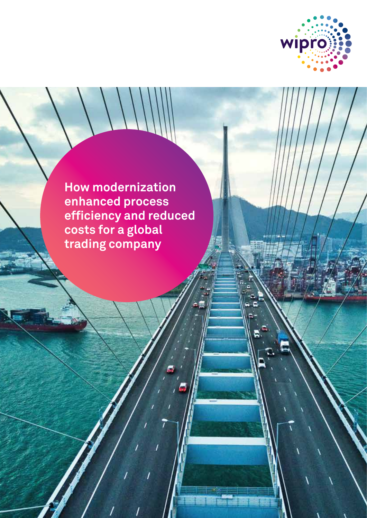

**How modernization enhanced process efficiency and reduced costs for a global trading company**

 $\begin{pmatrix} 1 \\ -1 \end{pmatrix}$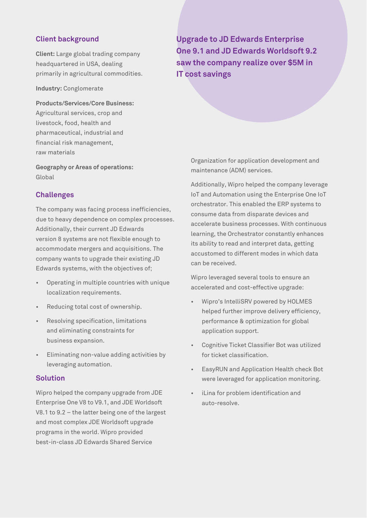## **Client background**

**Client:** Large global trading company headquartered in USA, dealing primarily in agricultural commodities.

**Industry:** Conglomerate

**Products/Services/Core Business:** Agricultural services, crop and livestock, food, health and pharmaceutical, industrial and financial risk management, raw materials

**Geography or Areas of operations:** Global

## **Challenges**

The company was facing process inefficiencies, due to heavy dependence on complex processes. Additionally, their current JD Edwards version 8 systems are not flexible enough to accommodate mergers and acquisitions. The company wants to upgrade their existing JD Edwards systems, with the objectives of;

- Operating in multiple countries with unique localization requirements.
- Reducing total cost of ownership.
- Resolving specification, limitations and eliminating constraints for business expansion.
- Eliminating non-value adding activities by leveraging automation.

#### **Solution**

Wipro helped the company upgrade from JDE Enterprise One V8 to V9.1, and JDE Worldsoft V8.1 to 9.2 – the latter being one of the largest and most complex JDE Worldsoft upgrade programs in the world. Wipro provided best-in-class JD Edwards Shared Service

**Upgrade to JD Edwards Enterprise One 9.1 and JD Edwards Worldsoft 9.2 saw the company realize over \$5M in IT cost savings**

Organization for application development and maintenance (ADM) services.

Additionally, Wipro helped the company leverage IoT and Automation using the Enterprise One IoT orchestrator. This enabled the ERP systems to consume data from disparate devices and accelerate business processes. With continuous learning, the Orchestrator constantly enhances its ability to read and interpret data, getting accustomed to different modes in which data can be received.

Wipro leveraged several tools to ensure an accelerated and cost-effective upgrade:

- Wipro's IntelliSRV powered by HOLMES helped further improve delivery efficiency, performance & optimization for global application support.
- Cognitive Ticket Classifier Bot was utilized for ticket classification.
- EasyRUN and Application Health check Bot were leveraged for application monitoring.
- iLina for problem identification and auto-resolve.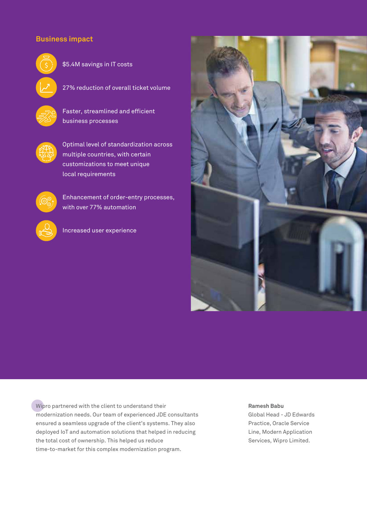# **Business impact**



\$5.4M savings in IT costs

27% reduction of overall ticket volume

 Faster, streamlined and efficient business processes



 Optimal level of standardization across multiple countries, with certain customizations to meet unique local requirements



 Enhancement of order-entry processes, with over 77% automation



Increased user experience



Wipro partnered with the client to understand their modernization needs. Our team of experienced JDE consultants ensured a seamless upgrade of the client's systems. They also deployed IoT and automation solutions that helped in reducing the total cost of ownership. This helped us reduce time-to-market for this complex modernization program.

#### **Ramesh Babu**

Global Head - JD Edwards Practice, Oracle Service Line, Modern Application Services, Wipro Limited.